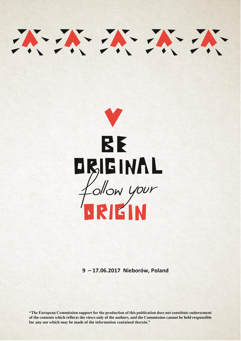

**9 – 17.06.2017 Nieborów, Poland**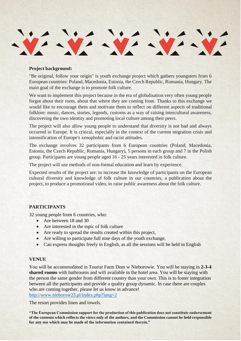

#### **Project background:**

"Be original, follow your origin" is youth exchange project which gathers youngsters from 6 European countries: Poland, Macedonia, Estonia, the Czech Republic, Romania, Hungary. The main goal of the exchange is to promote folk culture.

We want to implement this project because in the era of globalisation very often young people forgot about their roots, about that where they are coming from. Thanks to this exchange we would like to encourage them and motivate them to reflect on different aspects of traditional folklore: music, dances, stories, legends, customs as a way of raising intercultural awareness, discovering the own identity and promoting local culture among their peers.

The project will also allow young people to understand that diversity is not bad and always occurred in Europe. It is critical, especially in the context of the current migration crisis and intensification of Europe's xenophobic and racist attitudes.

The exchange involves 32 participants from 6 European countries (Poland, Macedonia, Estonia, the Czech Republic, Romania, Hungary), 5 persons in each group and 7 in the Polish group. Participants are young people aged 16 - 25 years interested in folk culture.

The project will use methods of non-formal education and learn by experience.

Expected results of the project are: to increase the knowledge of participants on the European cultural diversity and knowledge of folk culture in our countries, a publication about the project, to produce a promotional video, to raise public awareness about the folk culture.

## **PARTICIPANTS**

32 young people from 6 countries, who:

- Are between 18 and 30
- Are interested in the topic of folk culture
- Are ready to spread the results created within this project,
- Are willing to participate full nine days of the youth exchange,
- Can express thoughts freely in English, as all the sessions will be held in English

#### **VENUE**

You will be accommodated in Tourist Farm Dom w Nieborowie. You will be staying in **2-3-4 shared rooms** with bathrooms and wifi available in the hotel area. You will be staying with the person the same gender from different country than your own. This is to foster integration between all the participants and provide a quality group dynamic. In case there are couples who are coming together, please let us know in advance! <http://www.nieborow23.pl/index.php?lang=2>

The resort provides linen and towels.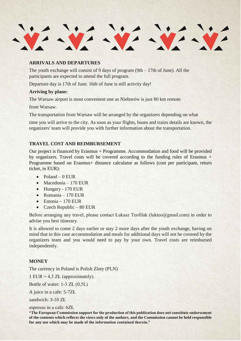# **ARRIVALS AND DEPARTURES**

The youth exchange will consist of 9 days of program  $(9th - 17th)$  of June). All the participants are expected to attend the full program.

Departure day is 17th of June. 16th of June is still activity day!

# **Arriving by plane:**

The Warsaw airport is most convenient one as Nieborów is just 80 km remote

from Warsaw.

The transportation from Warsaw will be arranged by the organizers depending on what

time you will arrive to the city. As soon as your flights, buses and trains details are known, the organizers' team will provide you with further information about the transportation.

## **TRAVEL COST AND REIMBURSEMENT**

Our project is financed by Erasmus + Programme. Accommodation and food will be provided by organizers. Travel costs will be covered according to the funding rules of Erasmus + Programme based on Erasmus+ distance calculator as follows (cost per participant, return ticket, in EUR):

- $\bullet$  Poland 0 EUR
- $\bullet$  Macedonia 170 EUR
- Hungary 170 EUR
- Romania 170 EUR
- $\bullet$  Estonia 170 EUR
- $\textdegree$  Czech Republic 80 EUR

Before arranging any travel, please contact Łukasz Teofilak (lukteo@gmail.com) in order to advise you best itinerary.

It is allowed to come 2 days earlier or stay 2 more days after the youth exchange, having on mind that in this case accommodation and meals for additional days will not be covered by the organizers team and you would need to pay by your own. Travel costs are reimbursed independently.

## **MONEY**

The currency in Poland is Polish Zloty (PLN)

1 EUR =  $4.3$  ZŁ (approximately).

Bottle of water: 1-3 ZŁ (0,5L)

A juice in a cafe: 5-7ZŁ

sandwich: 3-10 ZŁ

espresso in a cafe: 6ZŁ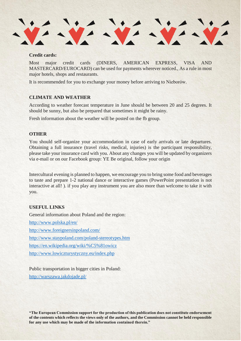#### **Credit cards:**

Most major credit cards (DINERS, AMERICAN EXPRESS, VISA AND MASTERCARD/EUROCARD) can be used for payments wherever noticed., As a rule in most major hotels, shops and restaurants.

It is recommended for you to exchange your money before arriving to Nieborów.

## **CLIMATE AND WEATHER**

According to weather forecast temperature in June should be between 20 and 25 degrees. It should be sunny, but also be prepared that sometimes it might be rainy.

Fresh information about the weather will be posted on the fb group.

#### **OTHER**

You should self-organize your accommodation in case of early arrivals or late departures. Obtaining a full insurance (travel risks, medical, injuries) is the participant responsibility, please take your insurance card with you. About any changes you will be updated by organizers via e-mail or on our Facebook group: YE Be original, follow your origin

Intercultural evening is planned to happen, we encourage you to bring some food and beverages to taste and prepare 1-2 national dance or interactive games (PowerPoint presentation is not interactive at all! ). if you play any instrument you are also more than welcome to take it with you.

# **USEFUL LINKS**

General information about Poland and the region:

<http://www.polska.pl/en/>

<http://www.foreignersinpoland.com/>

<http://www.staypoland.com/poland-stereotypes.htm>

<https://en.wikipedia.org/wiki/%C5%81owicz>

<http://www.lowiczturystyczny.eu/index.php>

Public transportation in bigger cities in Poland: <http://warszawa.jakdojade.pl/>